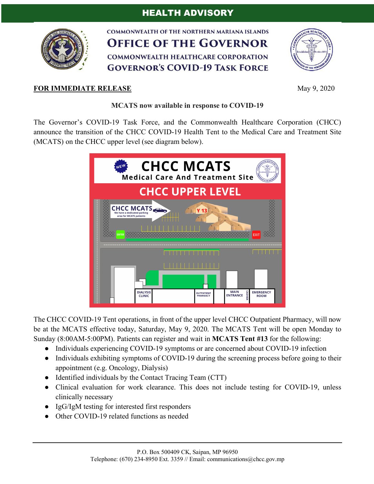# HEALTH ADVISORY



**COMMONWEALTH OF THE NORTHERN MARIANA ISLANDS OFFICE OF THE GOVERNOR COMMONWEALTH HEALTHCARE CORPORATION GOVERNOR'S COVID-19 TASK FORCE** 



#### **FOR IMMEDIATE RELEASE** May 9, 2020

#### **MCATS now available in response to COVID-19**

The Governor's COVID-19 Task Force, and the Commonwealth Healthcare Corporation (CHCC) announce the transition of the CHCC COVID-19 Health Tent to the Medical Care and Treatment Site (MCATS) on the CHCC upper level (see diagram below).



The CHCC COVID-19 Tent operations, in front of the upper level CHCC Outpatient Pharmacy, will now be at the MCATS effective today, Saturday, May 9, 2020. The MCATS Tent will be open Monday to Sunday (8:00AM-5:00PM). Patients can register and wait in **MCATS Tent #13** for the following:

- Individuals experiencing COVID-19 symptoms or are concerned about COVID-19 infection
- Individuals exhibiting symptoms of COVID-19 during the screening process before going to their appointment (e.g. Oncology, Dialysis)
- Identified individuals by the Contact Tracing Team (CTT)
- Clinical evaluation for work clearance. This does not include testing for COVID-19, unless clinically necessary
- IgG/IgM testing for interested first responders
- Other COVID-19 related functions as needed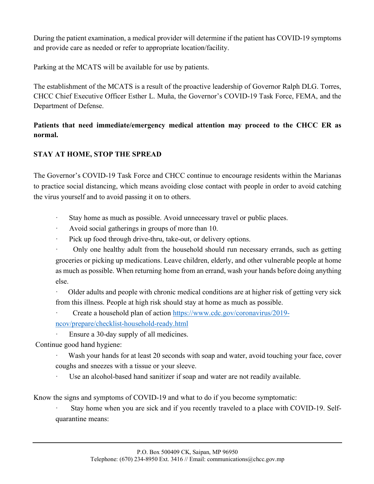During the patient examination, a medical provider will determine if the patient has COVID-19 symptoms and provide care as needed or refer to appropriate location/facility.

Parking at the MCATS will be available for use by patients.

The establishment of the MCATS is a result of the proactive leadership of Governor Ralph DLG. Torres, CHCC Chief Executive Officer Esther L. Muña, the Governor's COVID-19 Task Force, FEMA, and the Department of Defense.

## **Patients that need immediate/emergency medical attention may proceed to the CHCC ER as normal.**

## **STAY AT HOME, STOP THE SPREAD**

The Governor's COVID-19 Task Force and CHCC continue to encourage residents within the Marianas to practice social distancing, which means avoiding close contact with people in order to avoid catching the virus yourself and to avoid passing it on to others.

- · Stay home as much as possible. Avoid unnecessary travel or public places.
- Avoid social gatherings in groups of more than 10.
- Pick up food through drive-thru, take-out, or delivery options.

· Only one healthy adult from the household should run necessary errands, such as getting groceries or picking up medications. Leave children, elderly, and other vulnerable people at home as much as possible. When returning home from an errand, wash your hands before doing anything else.

· Older adults and people with chronic medical conditions are at higher risk of getting very sick from this illness. People at high risk should stay at home as much as possible.

· Create a household plan of action https://www.cdc.gov/coronavirus/2019 ncov/prepare/checklist-household-ready.html

· Ensure a 30-day supply of all medicines.

Continue good hand hygiene:

Wash your hands for at least 20 seconds with soap and water, avoid touching your face, cover coughs and sneezes with a tissue or your sleeve.

Use an alcohol-based hand sanitizer if soap and water are not readily available.

Know the signs and symptoms of COVID-19 and what to do if you become symptomatic:

Stay home when you are sick and if you recently traveled to a place with COVID-19. Selfquarantine means: